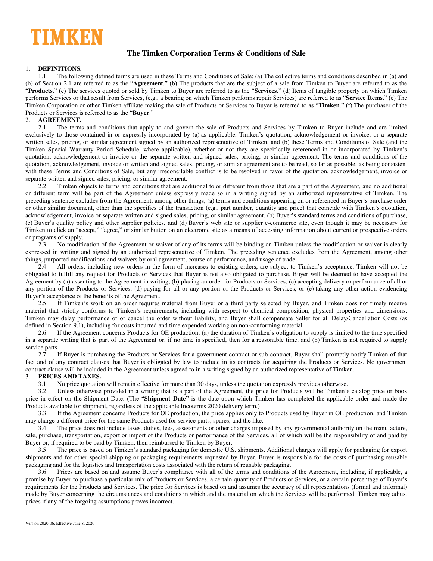

# **The Timken Corporation Terms & Conditions of Sale**

# 1. **DEFINITIONS.**

1.1 The following defined terms are used in these Terms and Conditions of Sale: (a) The collective terms and conditions described in (a) and (b) of Section [2.1](#page-0-0) are referred to as the "**Agreement**." (b) The products that are the subject of a sale from Timken to Buyer are referred to as the "**Products.**" (c) The services quoted or sold by Timken to Buyer are referred to as the "**Services.**" (d) Items of tangible property on which Timken performs Services or that result from Services, (e.g., a bearing on which Timken performs repair Services) are referred to as "**Service Items**." (e) The Timken Corporation or other Timken affiliate making the sale of Products or Services to Buyer is referred to as "**Timken**." (f) The purchaser of the Products or Services is referred to as the "**Buyer**."

### 2. **AGREEMENT.**

<span id="page-0-0"></span>2.1 The terms and conditions that apply to and govern the sale of Products and Services by Timken to Buyer include and are limited exclusively to those contained in or expressly incorporated by (a) as applicable, Timken's quotation, acknowledgement or invoice, or a separate written sales, pricing, or similar agreement signed by an authorized representative of Timken, and (b) these Terms and Conditions of Sale (and the Timken Special Warranty Period Schedule, where applicable), whether or not they are specifically referenced in or incorporated by Timken's quotation, acknowledgement or invoice or the separate written and signed sales, pricing, or similar agreement. The terms and conditions of the quotation, acknowledgement, invoice or written and signed sales, pricing, or similar agreement are to be read, so far as possible, as being consistent with these Terms and Conditions of Sale, but any irreconcilable conflict is to be resolved in favor of the quotation, acknowledgement, invoice or separate written and signed sales, pricing, or similar agreement.

2.2 Timken objects to terms and conditions that are additional to or different from those that are a part of the Agreement, and no additional or different term will be part of the Agreement unless expressly made so in a writing signed by an authorized representative of Timken. The preceding sentence excludes from the Agreement, among other things, (a) terms and conditions appearing on or referenced in Buyer's purchase order or other similar document, other than the specifics of the transaction (e.g., part number, quantity and price) that coincide with Timken's quotation, acknowledgement, invoice or separate written and signed sales, pricing, or similar agreement, (b) Buyer's standard terms and conditions of purchase, (c) Buyer's quality policy and other supplier policies, and (d) Buyer's web site or supplier e-commerce site, even though it may be necessary for Timken to click an "accept," "agree," or similar button on an electronic site as a means of accessing information about current or prospective orders or programs of supply.

2.3 No modification of the Agreement or waiver of any of its terms will be binding on Timken unless the modification or waiver is clearly expressed in writing and signed by an authorized representative of Timken. The preceding sentence excludes from the Agreement, among other things, purported modifications and waivers by oral agreement, course of performance, and usage of trade.

2.4 All orders, including new orders in the form of increases to existing orders, are subject to Timken's acceptance. Timken will not be obligated to fulfill any request for Products or Services that Buyer is not also obligated to purchase. Buyer will be deemed to have accepted the Agreement by (a) assenting to the Agreement in writing, (b) placing an order for Products or Services, (c) accepting delivery or performance of all or any portion of the Products or Services, (d) paying for all or any portion of the Products or Services, or (e) taking any other action evidencing Buyer's acceptance of the benefits of the Agreement.

2.5 If Timken's work on an order requires material from Buyer or a third party selected by Buyer, and Timken does not timely receive material that strictly conforms to Timken's requirements, including with respect to chemical composition, physical properties and dimensions, Timken may delay performance of or cancel the order without liability, and Buyer shall compensate Seller for all Delay/Cancellation Costs (as defined in Sectio[n 9.1\)](#page-2-0), including for costs incurred and time expended working on non-conforming material.

2.6 If the Agreement concerns Products for OE production, (a) the duration of Timken's obligation to supply is limited to the time specified in a separate writing that is part of the Agreement or, if no time is specified, then for a reasonable time, and (b) Timken is not required to supply service parts.

2.7 If Buyer is purchasing the Products or Services for a government contract or sub-contract, Buyer shall promptly notify Timken of that fact and of any contract clauses that Buyer is obligated by law to include in its contracts for acquiring the Products or Services. No government contract clause will be included in the Agreement unless agreed to in a writing signed by an authorized representative of Timken.

### 3. **PRICES AND TAXES.**

3.1 No price quotation will remain effective for more than 30 days, unless the quotation expressly provides otherwise.

3.2 Unless otherwise provided in a writing that is a part of the Agreement, the price for Products will be Timken's catalog price or book price in effect on the Shipment Date. (The "**Shipment Date**" is the date upon which Timken has completed the applicable order and made the Products available for shipment, regardless of the applicable Incoterms 2020 delivery term.)

3.3 If the Agreement concerns Products for OE production, the price applies only to Products used by Buyer in OE production, and Timken may charge a different price for the same Products used for service parts, spares, and the like.

3.4 The price does not include taxes, duties, fees, assessments or other charges imposed by any governmental authority on the manufacture, sale, purchase, transportation, export or import of the Products or performance of the Services, all of which will be the responsibility of and paid by Buyer or, if required to be paid by Timken, then reimbursed to Timken by Buyer.

3.5 The price is based on Timken's standard packaging for domestic U.S. shipments. Additional charges will apply for packaging for export shipments and for other special shipping or packaging requirements requested by Buyer. Buyer is responsible for the costs of purchasing reusable packaging and for the logistics and transportation costs associated with the return of reusable packaging.

3.6 Prices are based on and assume Buyer's compliance with all of the terms and conditions of the Agreement, including, if applicable, a promise by Buyer to purchase a particular mix of Products or Services, a certain quantity of Products or Services, or a certain percentage of Buyer's requirements for the Products and Services. The price for Services is based on and assumes the accuracy of all representations (formal and informal) made by Buyer concerning the circumstances and conditions in which and the material on which the Services will be performed. Timken may adjust prices if any of the forgoing assumptions proves incorrect.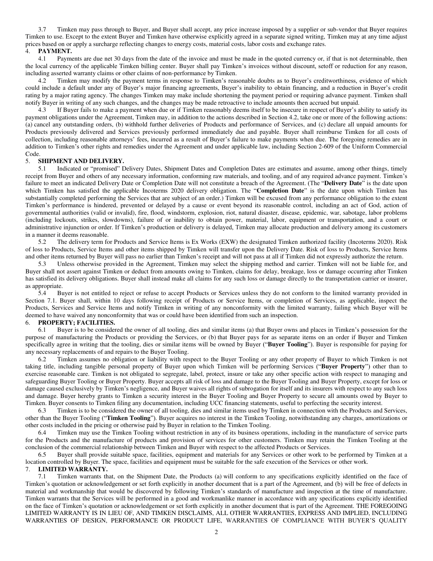3.7 Timken may pass through to Buyer, and Buyer shall accept, any price increase imposed by a supplier or sub-vendor that Buyer requires Timken to use. Except to the extent Buyer and Timken have otherwise explicitly agreed in a separate signed writing, Timken may at any time adjust prices based on or apply a surcharge reflecting changes to energy costs, material costs, labor costs and exchange rates.

### 4. **PAYMENT.**

4.1 Payments are due net 30 days from the date of the invoice and must be made in the quoted currency or, if that is not determinable, then the local currency of the applicable Timken billing center. Buyer shall pay Timken's invoices without discount, setoff or reduction for any reason, including asserted warranty claims or other claims of non-performance by Timken.

<span id="page-1-0"></span>4.2 Timken may modify the payment terms in response to Timken's reasonable doubts as to Buyer's creditworthiness, evidence of which could include a default under any of Buyer's major financing agreements, Buyer's inability to obtain financing, and a reduction in Buyer's credit rating by a major rating agency. The changes Timken may make include shortening the payment period or requiring advance payment. Timken shall notify Buyer in writing of any such changes, and the changes may be made retroactive to include amounts then accrued but unpaid.

4.3 If Buyer fails to make a payment when due or if Timken reasonably deems itself to be insecure in respect of Buyer's ability to satisfy its payment obligations under the Agreement, Timken may, in addition to the actions described in Section [4.2,](#page-1-0) take one or more of the following actions: (a) cancel any outstanding orders, (b) withhold further deliveries of Products and performance of Services, and (c) declare all unpaid amounts for Products previously delivered and Services previously performed immediately due and payable. Buyer shall reimburse Timken for all costs of collection, including reasonable attorneys' fees, incurred as a result of Buyer's failure to make payments when due. The foregoing remedies are in addition to Timken's other rights and remedies under the Agreement and under applicable law, including Section 2-609 of the Uniform Commercial Code.

### 5. **SHIPMENT AND DELIVERY.**

5.1 Indicated or "promised" Delivery Dates, Shipment Dates and Completion Dates are estimates and assume, among other things, timely receipt from Buyer and others of any necessary information, conforming raw materials, and tooling, and of any required advance payment. Timken's failure to meet an indicated Delivery Date or Completion Date will not constitute a breach of the Agreement. (The "**Delivery Date**" is the date upon which Timken has satisfied the applicable Incoterms 2020 delivery obligation. The "**Completion Date**" is the date upon which Timken has substantially completed performing the Services that are subject of an order.) Timken will be excused from any performance obligation to the extent Timken's performance is hindered, prevented or delayed by a cause or event beyond its reasonable control, including an act of God, action of governmental authorities (valid or invalid), fire, flood, windstorm, explosion, riot, natural disaster, disease, epidemic, war, sabotage, labor problems (including lockouts, strikes, slowdowns), failure of or inability to obtain power, material, labor, equipment or transportation, and a court or administrative injunction or order. If Timken's production or delivery is delayed, Timken may allocate production and delivery among its customers in a manner it deems reasonable.

5.2 The delivery term for Products and Service Items is Ex Works (EXW) the designated Timken authorized facility (Incoterms 2020). Risk of loss to Products, Service Items and other items shipped by Timken will transfer upon the Delivery Date. Risk of loss to Products, Service Items and other items returned by Buyer will pass no earlier than Timken's receipt and will not pass at all if Timken did not expressly authorize the return.

5.3 Unless otherwise provided in the Agreement, Timken may select the shipping method and carrier. Timken will not be liable for, and Buyer shall not assert against Timken or deduct from amounts owing to Timken, claims for delay, breakage, loss or damage occurring after Timken has satisfied its delivery obligations. Buyer shall instead make all claims for any such loss or damage directly to the transportation carrier or insurer, as appropriate.

5.4 Buyer is not entitled to reject or refuse to accept Products or Services unless they do not conform to the limited warranty provided in Section [7.1.](#page-1-1) Buyer shall, within 10 days following receipt of Products or Service Items, or completion of Services, as applicable, inspect the Products, Services and Service Items and notify Timken in writing of any nonconformity with the limited warranty, failing which Buyer will be deemed to have waived any nonconformity that was or could have been identified from such an inspection.

#### 6. **PROPERTY; FACILITIES.**

6.1 Buyer is to be considered the owner of all tooling, dies and similar items (a) that Buyer owns and places in Timken's possession for the purpose of manufacturing the Products or providing the Services, or (b) that Buyer pays for as separate items on an order if Buyer and Timken specifically agree in writing that the tooling, dies or similar items will be owned by Buyer ("**Buyer Tooling**"). Buyer is responsible for paying for any necessary replacements of and repairs to the Buyer Tooling.

6.2 Timken assumes no obligation or liability with respect to the Buyer Tooling or any other property of Buyer to which Timken is not taking title, including tangible personal property of Buyer upon which Timken will be performing Services ("**Buyer Property**") other than to exercise reasonable care. Timken is not obligated to segregate, label, protect, insure or take any other specific action with respect to managing and safeguarding Buyer Tooling or Buyer Property. Buyer accepts all risk of loss and damage to the Buyer Tooling and Buyer Property, except for loss or damage caused exclusively by Timken's negligence, and Buyer waives all rights of subrogation for itself and its insurers with respect to any such loss and damage. Buyer hereby grants to Timken a security interest in the Buyer Tooling and Buyer Property to secure all amounts owed by Buyer to Timken. Buyer consents to Timken filing any documentation, including UCC financing statements, useful to perfecting the security interest.

6.3 Timken is to be considered the owner of all tooling, dies and similar items used by Timken in connection with the Products and Services, other than the Buyer Tooling ("**Timken Tooling**"). Buyer acquires no interest in the Timken Tooling, notwithstanding any charges, amortizations or other costs included in the pricing or otherwise paid by Buyer in relation to the Timken Tooling.

6.4 Timken may use the Timken Tooling without restriction in any of its business operations, including in the manufacture of service parts for the Products and the manufacture of products and provision of services for other customers. Timken may retain the Timken Tooling at the conclusion of the commercial relationship between Timken and Buyer with respect to the affected Products or Services.

6.5 Buyer shall provide suitable space, facilities, equipment and materials for any Services or other work to be performed by Timken at a location controlled by Buyer. The space, facilities and equipment must be suitable for the safe execution of the Services or other work.

### 7. **LIMITED WARRANTY.**

<span id="page-1-1"></span>7.1 Timken warrants that, on the Shipment Date, the Products (a) will conform to any specifications explicitly identified on the face of Timken's quotation or acknowledgement or set forth explicitly in another document that is a part of the Agreement, and (b) will be free of defects in material and workmanship that would be discovered by following Timken's standards of manufacture and inspection at the time of manufacture. Timken warrants that the Services will be performed in a good and workmanlike manner in accordance with any specifications explicitly identified on the face of Timken's quotation or acknowledgement or set forth explicitly in another document that is part of the Agreement. THE FOREGOING LIMITED WARRANTY IS IN LIEU OF, AND TIMKEN DISCLAIMS, ALL OTHER WARRANTIES, EXPRESS AND IMPLIED, INCLUDING WARRANTIES OF DESIGN, PERFORMANCE OR PRODUCT LIFE, WARRANTIES OF COMPLIANCE WITH BUYER'S QUALITY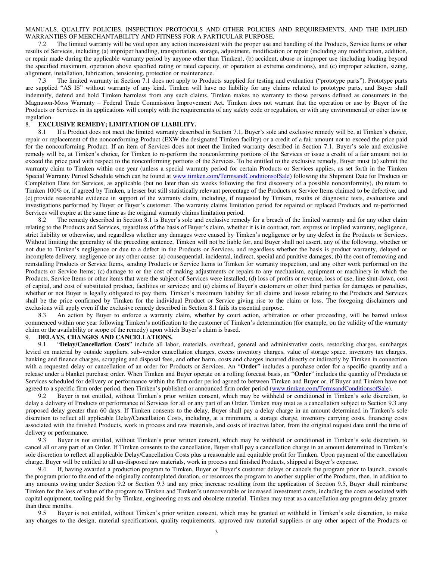#### MANUALS, QUALITY POLICIES, INSPECTION PROTOCOLS AND OTHER POLICIES AND REQUIREMENTS, AND THE IMPLIED WARRANTIES OF MERCHANTABILITY AND FITNESS FOR A PARTICULAR PURPOSE.

7.2 The limited warranty will be void upon any action inconsistent with the proper use and handling of the Products, Service Items or other results of Services, including (a) improper handling, transportation, storage, adjustment, modification or repair (including any modification, addition, or repair made during the applicable warranty period by anyone other than Timken), (b) accident, abuse or improper use (including loading beyond the specified maximum, operation above specified rating or rated capacity, or operation at extreme conditions), and (c) improper selection, sizing, alignment, installation, lubrication, tensioning, protection or maintenance.

7.3 The limited warranty in Section [7.1](#page-1-1) does not apply to Products supplied for testing and evaluation ("prototype parts"). Prototype parts are supplied "AS IS" without warranty of any kind. Timken will have no liability for any claims related to prototype parts, and Buyer shall indemnify, defend and hold Timken harmless from any such claims. Timken makes no warranty to those persons defined as consumers in the Magnuson-Moss Warranty – Federal Trade Commission Improvement Act. Timken does not warrant that the operation or use by Buyer of the Products or Services in its applications will comply with the requirements of any safety code or regulation, or with any environmental or other law or regulation.

### 8. **EXCLUSIVE REMEDY; LIMITATION OF LIABILITY.**

<span id="page-2-1"></span>8.1 If a Product does not meet the limited warranty described in Section [7.1,](#page-1-1) Buyer's sole and exclusive remedy will be, at Timken's choice, repair or replacement of the nonconforming Product (EXW the designated Timken facility) or a credit of a fair amount not to exceed the price paid for the nonconforming Product. If an item of Services does not meet the limited warranty described in Section [7.1,](#page-1-1) Buyer's sole and exclusive remedy will be, at Timken's choice, for Timken to re-perform the nonconforming portions of the Services or issue a credit of a fair amount not to exceed the price paid with respect to the nonconforming portions of the Services. To be entitled to the exclusive remedy, Buyer must (a) submit the warranty claim to Timken within one year (unless a special warranty period for certain Products or Services applies, as set forth in the Timken Special Warranty Period Schedule which can be found at [www.timken.com/TermsandConditionsofSale\)](http://www.timken.com/TermsandConditionsofSale) following the Shipment Date for Products or Completion Date for Services, as applicable (but no later than six weeks following the first discovery of a possible nonconformity), (b) return to Timken 100% or, if agreed by Timken, a lesser but still statistically relevant percentage of the Products or Service Items claimed to be defective, and (c) provide reasonable evidence in support of the warranty claim, including, if requested by Timken, results of diagnostic tests, evaluations and investigations performed by Buyer or Buyer's customer. The warranty claims limitation period for repaired or replaced Products and re-performed Services will expire at the same time as the original warranty claims limitation period.

8.2 The remedy described in Section [8.1](#page-2-1) is Buyer's sole and exclusive remedy for a breach of the limited warranty and for any other claim relating to the Products and Services, regardless of the basis of Buyer's claim, whether it is in contract, tort, express or implied warranty, negligence, strict liability or otherwise, and regardless whether any damages were caused by Timken's negligence or by any defect in the Products or Services. Without limiting the generality of the preceding sentence, Timken will not be liable for, and Buyer shall not assert, any of the following, whether or not due to Timken's negligence or due to a defect in the Products or Services, and regardless whether the basis is product warranty, delayed or incomplete delivery, negligence or any other cause: (a) consequential, incidental, indirect, special and punitive damages; (b) the cost of removing and reinstalling Products or Service Items, sending Products or Service Items to Timken for warranty inspection, and any other work performed on the Products or Service Items; (c) damage to or the cost of making adjustments or repairs to any mechanism, equipment or machinery in which the Products, Service Items or other items that were the subject of Services were installed; (d) loss of profits or revenue, loss of use, line shut-down, cost of capital, and cost of substituted product, facilities or services; and (e) claims of Buyer's customers or other third parties for damages or penalties, whether or not Buyer is legally obligated to pay them. Timken's maximum liability for all claims and losses relating to the Products and Services shall be the price confirmed by Timken for the individual Product or Service giving rise to the claim or loss. The foregoing disclaimers and exclusions will apply even if the exclusive remedy described in Sectio[n 8.1](#page-2-1) fails its essential purpose.

8.3 An action by Buyer to enforce a warranty claim, whether by court action, arbitration or other proceeding, will be barred unless commenced within one year following Timken's notification to the customer of Timken's determination (for example, on the validity of the warranty claim or the availability or scope of the remedy) upon which Buyer's claim is based.

# 9. **DELAYS, CHANGES AND CANCELLATIONS.**

<span id="page-2-0"></span>9.1 "**Delay/Cancellation Costs**" include all labor, materials, overhead, general and administrative costs, restocking charges, surcharges levied on material by outside suppliers, sub-vendor cancellation charges, excess inventory charges, value of storage space, inventory tax charges, banking and finance charges, scrapping and disposal fees, and other harm, costs and charges incurred directly or indirectly by Timken in connection with a requested delay or cancellation of an order for Products or Services. An "**Order**" includes a purchase order for a specific quantity and a release under a blanket purchase order. When Timken and Buyer operate on a rolling forecast basis, an "**Order**" includes the quantity of Products or Services scheduled for delivery or performance within the firm order period agreed to between Timken and Buyer or, if Buyer and Timken have not agreed to a specific firm order period, then Timken's published or announced firm order period [\(www.timken.com/TermsandConditionsofSale\)](http://www.timken.com/TermsandConditionsofSale).

<span id="page-2-3"></span>9.2 Buyer is not entitled, without Timken's prior written consent, which may be withheld or conditioned in Timken's sole discretion, to delay a delivery of Products or performance of Services for all or any part of an Order. Timken may treat as a cancellation subject to Section [9.3](#page-2-2) any proposed delay greater than 60 days. If Timken consents to the delay, Buyer shall pay a delay charge in an amount determined in Timken's sole discretion to reflect all applicable Delay/Cancellation Costs, including, at a minimum, a storage charge, inventory carrying costs, financing costs associated with the finished Products, work in process and raw materials, and costs of inactive labor, from the original request date until the time of delivery or performance.<br>9.3 Buver is not

<span id="page-2-2"></span>9.3 Buyer is not entitled, without Timken's prior written consent, which may be withheld or conditioned in Timken's sole discretion, to cancel all or any part of an Order. If Timken consents to the cancellation, Buyer shall pay a cancellation charge in an amount determined in Timken's sole discretion to reflect all applicable Delay/Cancellation Costs plus a reasonable and equitable profit for Timken. Upon payment of the cancellation charge, Buyer will be entitled to all un-disposed raw materials, work in process and finished Products, shipped at Buyer's expense.

9.4 If, having awarded a production program to Timken, Buyer or Buyer's customer delays or cancels the program prior to launch, cancels the program prior to the end of the originally contemplated duration, or resources the program to another supplier of the Products, then, in addition to any amounts owing under Section [9.2](#page-2-3) or Section [9.3](#page-2-2) and any price increase resulting from the application of Section [9.5,](#page-2-4) Buyer shall reimburse Timken for the loss of value of the program to Timken and Timken's unrecoverable or increased investment costs, including the costs associated with capital equipment, tooling paid for by Timken, engineering costs and obsolete material. Timken may treat as a cancellation any program delay greater than three months.<br>9.5 Buver

<span id="page-2-4"></span>Buyer is not entitled, without Timken's prior written consent, which may be granted or withheld in Timken's sole discretion, to make any changes to the design, material specifications, quality requirements, approved raw material suppliers or any other aspect of the Products or